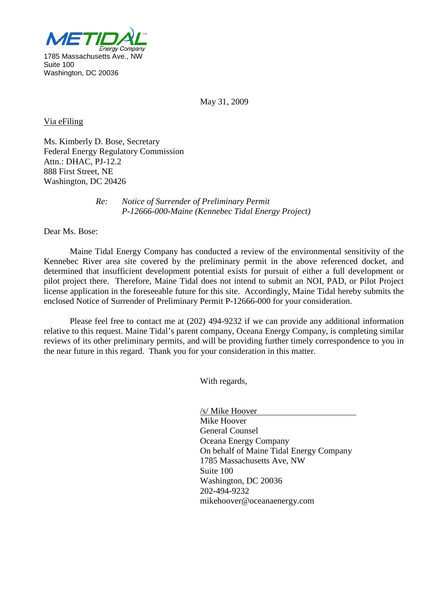

May 31, 2009

Via eFiling

Ms. Kimberly D. Bose, Secretary Federal Energy Regulatory Commission Attn.: DHAC, PJ-12.2 888 First Street, NE Washington, DC 20426

> *Re: Notice of Surrender of Preliminary Permit P-12666-000-Maine (Kennebec Tidal Energy Project)*

Dear Ms. Bose:

Maine Tidal Energy Company has conducted a review of the environmental sensitivity of the Kennebec River area site covered by the preliminary permit in the above referenced docket, and determined that insufficient development potential exists for pursuit of either a full development or pilot project there. Therefore, Maine Tidal does not intend to submit an NOI, PAD, or Pilot Project license application in the foreseeable future for this site. Accordingly, Maine Tidal hereby submits the enclosed Notice of Surrender of Preliminary Permit P-12666-000 for your consideration.

Please feel free to contact me at (202) 494-9232 if we can provide any additional information relative to this request. Maine Tidal's parent company, Oceana Energy Company, is completing similar reviews of its other preliminary permits, and will be providing further timely correspondence to you in the near future in this regard. Thank you for your consideration in this matter.

With regards,

 Mike Hoover /s/ Mike Hoover General Counsel Oceana Energy Company On behalf of Maine Tidal Energy Company 1785 Massachusetts Ave, NW Suite 100 Washington, DC 20036 202-494-9232 mikehoover@oceanaenergy.com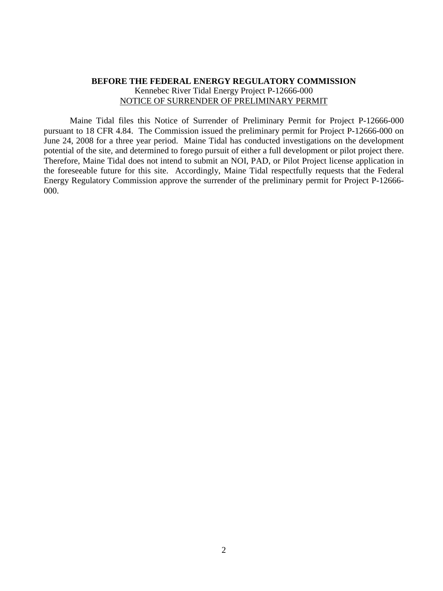## **BEFORE THE FEDERAL ENERGY REGULATORY COMMISSION** Kennebec River Tidal Energy Project P-12666-000 NOTICE OF SURRENDER OF PRELIMINARY PERMIT

Maine Tidal files this Notice of Surrender of Preliminary Permit for Project P-12666-000 pursuant to 18 CFR 4.84. The Commission issued the preliminary permit for Project P-12666-000 on June 24, 2008 for a three year period. Maine Tidal has conducted investigations on the development potential of the site, and determined to forego pursuit of either a full development or pilot project there. Therefore, Maine Tidal does not intend to submit an NOI, PAD, or Pilot Project license application in the foreseeable future for this site. Accordingly, Maine Tidal respectfully requests that the Federal Energy Regulatory Commission approve the surrender of the preliminary permit for Project P-12666- 000.